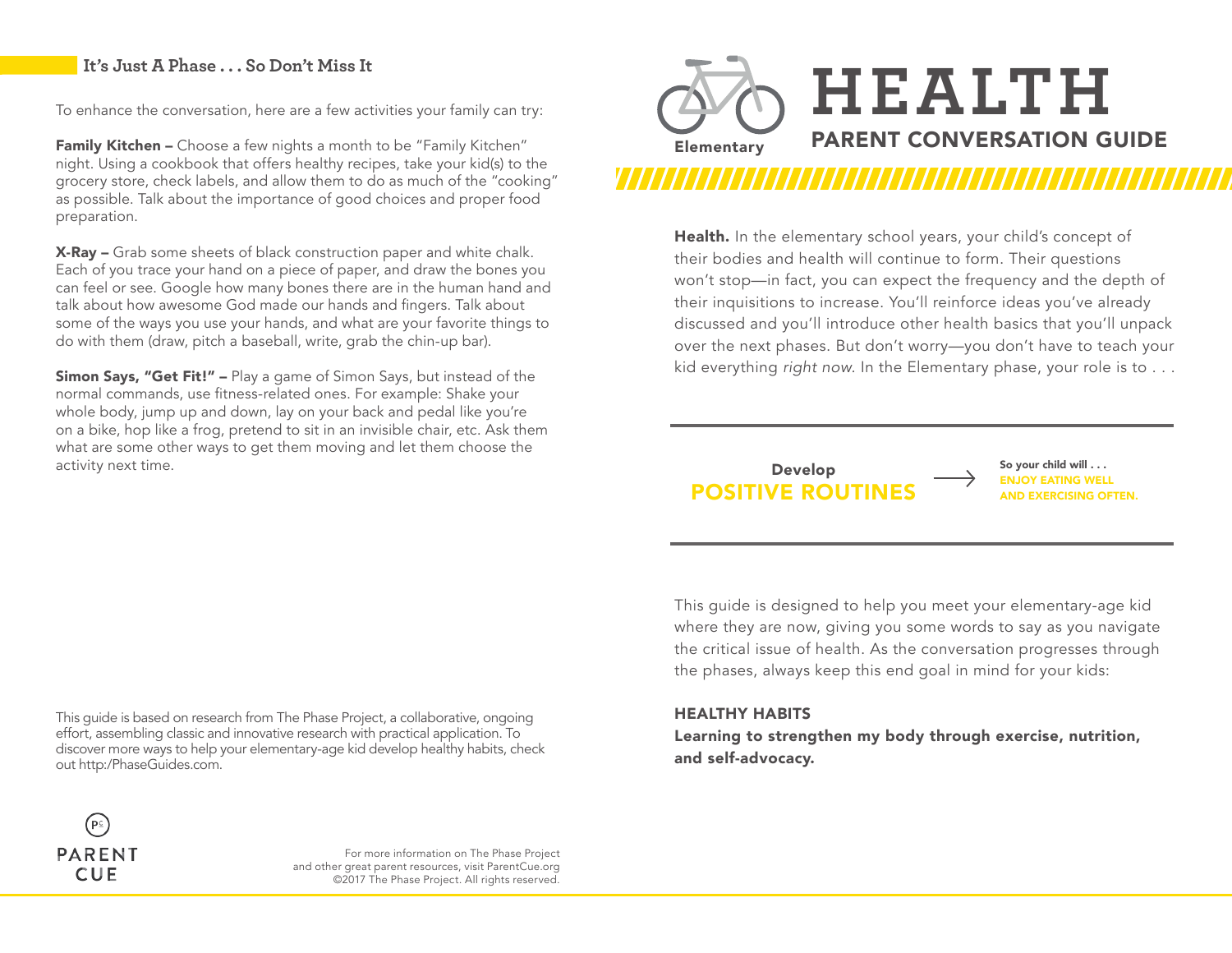### **It's Just A Phase . . . So Don't Miss It**

To enhance the conversation, here are a few activities your family can try:

Family Kitchen - Choose a few nights a month to be "Family Kitchen" night. Using a cookbook that offers healthy recipes, take your kid(s) to the grocery store, check labels, and allow them to do as much of the "cooking" as possible. Talk about the importance of good choices and proper food preparation.

X-Ray – Grab some sheets of black construction paper and white chalk. Each of you trace your hand on a piece of paper, and draw the bones you can feel or see. Google how many bones there are in the human hand and talk about how awesome God made our hands and fingers. Talk about some of the ways you use your hands, and what are your favorite things to do with them (draw, pitch a baseball, write, grab the chin-up bar).

Simon Says, "Get Fit!" - Play a game of Simon Says, but instead of the normal commands, use fitness-related ones. For example: Shake your whole body, jump up and down, lay on your back and pedal like you're on a bike, hop like a frog, pretend to sit in an invisible chair, etc. Ask them what are some other ways to get them moving and let them choose the activity next time.



Health. In the elementary school years, your child's concept of their bodies and health will continue to form. Their questions won't stop—in fact, you can expect the frequency and the depth of their inquisitions to increase. You'll reinforce ideas you've already discussed and you'll introduce other health basics that you'll unpack over the next phases. But don't worry—you don't have to teach your kid everything *right now.* In the Elementary phase, your role is to . . .

### **POSITIVE ROUTINE** Develop

So your child will . . . **ENJOY EATING WELL<br>AND EXERCISING OFTEN.** 

This guide is designed to help you meet your elementary-age kid where they are now, giving you some words to say as you navigate the critical issue of health. As the conversation progresses through the phases, always keep this end goal in mind for your kids:

### HEALTHY HABITS

Learning to strengthen my body through exercise, nutrition, and self-advocacy.





For more information on The Phase Project and other great parent resources, visit ParentCue.org ©2017 The Phase Project. All rights reserved.